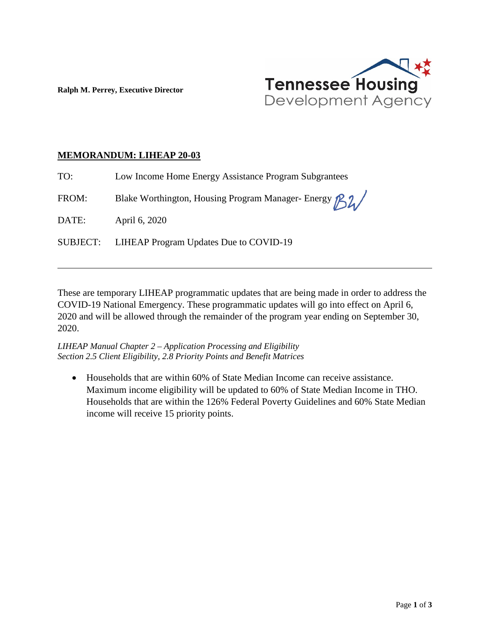

**Ralph M. Perrey, Executive Director**

## **MEMORANDUM: LIHEAP 20-03**

TO: Low Income Home Energy Assistance Program Subgrantees

FROM: Blake Worthington, Housing Program Manager- Energy  $\beta\lambda$ 

DATE: April 6, 2020

 $\overline{a}$ 

SUBJECT: LIHEAP Program Updates Due to COVID-19

These are temporary LIHEAP programmatic updates that are being made in order to address the COVID-19 National Emergency. These programmatic updates will go into effect on April 6, 2020 and will be allowed through the remainder of the program year ending on September 30, 2020.

*LIHEAP Manual Chapter 2 – Application Processing and Eligibility Section 2.5 Client Eligibility, 2.8 Priority Points and Benefit Matrices* 

• Households that are within 60% of State Median Income can receive assistance. Maximum income eligibility will be updated to 60% of State Median Income in THO. Households that are within the 126% Federal Poverty Guidelines and 60% State Median income will receive 15 priority points.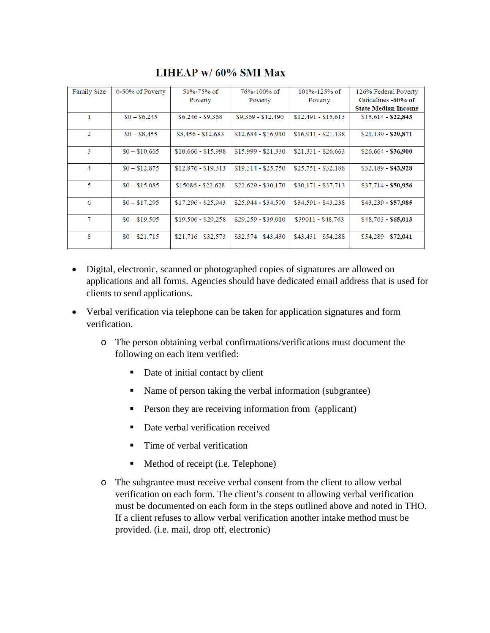| <b>Family Size</b> | 0-50% of Poverty | $51\% - 75\%$ of    | 76%-100% of         | $101\% - 125\%$ of  | 126% Federal Poverty       |
|--------------------|------------------|---------------------|---------------------|---------------------|----------------------------|
|                    |                  | Poverty             | Poverty             | Poverty             | Guidelines -60% of         |
|                    |                  |                     |                     |                     | <b>State Median Income</b> |
| 1                  | $$0 - $6,245$    | $$6,246 - $9,368$   | $$9,369 - $12,490$  | $$12,491 - $15,613$ | $$15,614 - $22,843$        |
|                    |                  |                     |                     |                     |                            |
| 2                  | $$0 - $8,455$    | $$8,456 - $12,683$  | $$12.684 - $16.910$ | $$16,911 - $21,138$ | $$21,139 - $29,871$        |
|                    |                  |                     |                     |                     |                            |
| 3                  | $$0 - $10,665$   | $$10,666 - $15,998$ | $$15,999 - $21,330$ | $$21,331 - $26,663$ | $$26,664 - $36,900$        |
|                    |                  |                     |                     |                     |                            |
| 4                  | $$0 - $12,875$   | $$12,876 - $19,313$ | $$19,314 - $25,750$ | $$25,751 - $32,188$ | \$32,189 - \$43,928        |
|                    |                  |                     |                     |                     |                            |
| 5                  | $$0 - $15,085$   | $$15086 - $22,628$  | $$22.629 - $30.170$ | $$30,171 - $37,713$ | $$37,714 - $50,956$        |
|                    |                  |                     |                     |                     |                            |
| 6                  | $$0 - $17,295$   | $$17,296 - $25,943$ | $$25,944 - $34,590$ | $$34,591 - $43,238$ | $$43,239 - $57,985$        |
|                    |                  |                     |                     |                     |                            |
| 7                  | $$0 - $19,505$   | $$19,506 - $29,258$ | $$29,259 - $39,010$ | $$39011 - $48,763$  | $$48,763 - $65,013$        |
|                    |                  |                     |                     |                     |                            |
| 8                  | $$0 - $21,715$   | $$21,716 - $32,573$ | $$32.574 - $43.430$ | $$43,431 - $54,288$ | $$54,289 - $72,041$        |
|                    |                  |                     |                     |                     |                            |
|                    |                  |                     |                     |                     |                            |

LIHEAP w/ 60% SMI Max

- Digital, electronic, scanned or photographed copies of signatures are allowed on applications and all forms. Agencies should have dedicated email address that is used for clients to send applications.
- Verbal verification via telephone can be taken for application signatures and form verification.
	- o The person obtaining verbal confirmations/verifications must document the following on each item verified:
		- Date of initial contact by client
		- Name of person taking the verbal information (subgrantee)
		- **Person they are receiving information from (applicant)**
		- Date verbal verification received
		- Time of verbal verification
		- Method of receipt (i.e. Telephone)
	- o The subgrantee must receive verbal consent from the client to allow verbal verification on each form. The client's consent to allowing verbal verification must be documented on each form in the steps outlined above and noted in THO. If a client refuses to allow verbal verification another intake method must be provided. (i.e. mail, drop off, electronic)